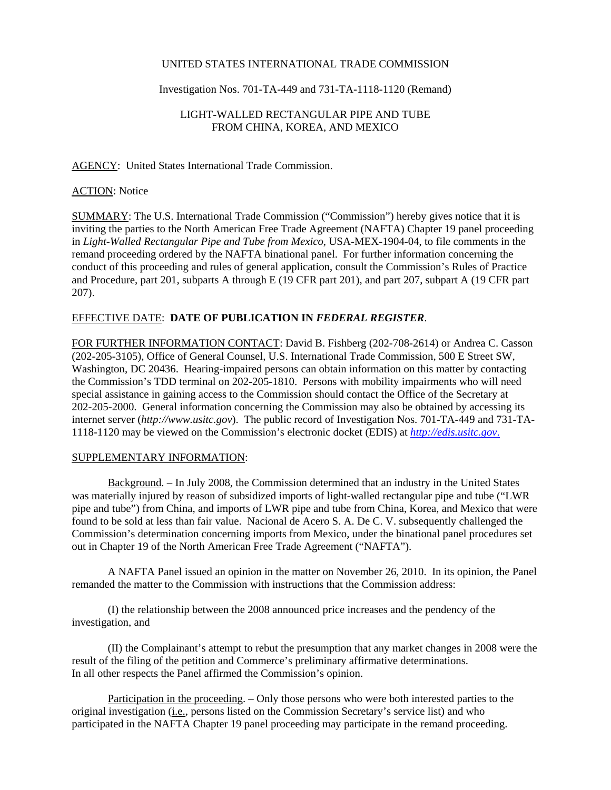## UNITED STATES INTERNATIONAL TRADE COMMISSION

### Investigation Nos. 701-TA-449 and 731-TA-1118-1120 (Remand)

# LIGHT-WALLED RECTANGULAR PIPE AND TUBE FROM CHINA, KOREA, AND MEXICO

### AGENCY: United States International Trade Commission.

#### **ACTION:** Notice

SUMMARY: The U.S. International Trade Commission ("Commission") hereby gives notice that it is inviting the parties to the North American Free Trade Agreement (NAFTA) Chapter 19 panel proceeding in *Light-Walled Rectangular Pipe and Tube from Mexico*, USA-MEX-1904-04, to file comments in the remand proceeding ordered by the NAFTA binational panel. For further information concerning the conduct of this proceeding and rules of general application, consult the Commission's Rules of Practice and Procedure, part 201, subparts A through E (19 CFR part 201), and part 207, subpart A (19 CFR part 207).

# EFFECTIVE DATE: **DATE OF PUBLICATION IN** *FEDERAL REGISTER*.

FOR FURTHER INFORMATION CONTACT: David B. Fishberg (202-708-2614) or Andrea C. Casson (202-205-3105), Office of General Counsel, U.S. International Trade Commission, 500 E Street SW, Washington, DC 20436. Hearing-impaired persons can obtain information on this matter by contacting the Commission's TDD terminal on 202-205-1810. Persons with mobility impairments who will need special assistance in gaining access to the Commission should contact the Office of the Secretary at 202-205-2000. General information concerning the Commission may also be obtained by accessing its internet server (*http://www.usitc.gov*). The public record of Investigation Nos. 701-TA-449 and 731-TA-1118-1120 may be viewed on the Commission's electronic docket (EDIS) at *http://edis.usitc.gov*.

#### SUPPLEMENTARY INFORMATION:

Background. – In July 2008, the Commission determined that an industry in the United States was materially injured by reason of subsidized imports of light-walled rectangular pipe and tube ("LWR pipe and tube") from China, and imports of LWR pipe and tube from China, Korea, and Mexico that were found to be sold at less than fair value. Nacional de Acero S. A. De C. V. subsequently challenged the Commission's determination concerning imports from Mexico, under the binational panel procedures set out in Chapter 19 of the North American Free Trade Agreement ("NAFTA").

A NAFTA Panel issued an opinion in the matter on November 26, 2010. In its opinion, the Panel remanded the matter to the Commission with instructions that the Commission address:

(I) the relationship between the 2008 announced price increases and the pendency of the investigation, and

(II) the Complainant's attempt to rebut the presumption that any market changes in 2008 were the result of the filing of the petition and Commerce's preliminary affirmative determinations. In all other respects the Panel affirmed the Commission's opinion.

Participation in the proceeding. – Only those persons who were both interested parties to the original investigation (*i.e.*, persons listed on the Commission Secretary's service list) and who participated in the NAFTA Chapter 19 panel proceeding may participate in the remand proceeding.